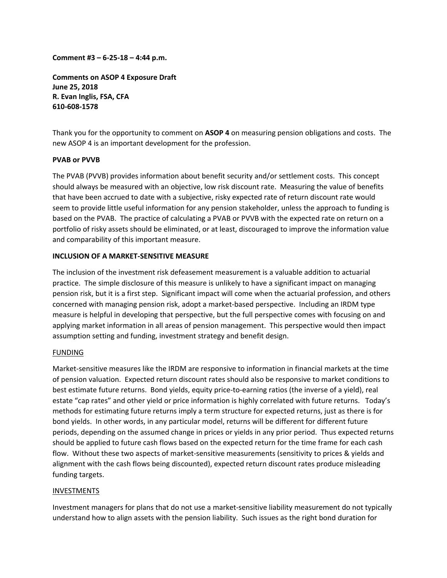**Comment #3 – 6‐25‐18 – 4:44 p.m.**

**Comments on ASOP 4 Exposure Draft June 25, 2018 R. Evan Inglis, FSA, CFA 610‐608‐1578**

Thank you for the opportunity to comment on **ASOP 4** on measuring pension obligations and costs. The new ASOP 4 is an important development for the profession.

### **PVAB or PVVB**

The PVAB (PVVB) provides information about benefit security and/or settlement costs. This concept should always be measured with an objective, low risk discount rate. Measuring the value of benefits that have been accrued to date with a subjective, risky expected rate of return discount rate would seem to provide little useful information for any pension stakeholder, unless the approach to funding is based on the PVAB. The practice of calculating a PVAB or PVVB with the expected rate on return on a portfolio of risky assets should be eliminated, or at least, discouraged to improve the information value and comparability of this important measure.

#### **INCLUSION OF A MARKET‐SENSITIVE MEASURE**

The inclusion of the investment risk defeasement measurement is a valuable addition to actuarial practice. The simple disclosure of this measure is unlikely to have a significant impact on managing pension risk, but it is a first step. Significant impact will come when the actuarial profession, and others concerned with managing pension risk, adopt a market‐based perspective. Including an IRDM type measure is helpful in developing that perspective, but the full perspective comes with focusing on and applying market information in all areas of pension management. This perspective would then impact assumption setting and funding, investment strategy and benefit design.

### FUNDING

Market-sensitive measures like the IRDM are responsive to information in financial markets at the time of pension valuation. Expected return discount rates should also be responsive to market conditions to best estimate future returns. Bond yields, equity price-to-earning ratios (the inverse of a yield), real estate "cap rates" and other yield or price information is highly correlated with future returns. Today's methods for estimating future returns imply a term structure for expected returns, just as there is for bond yields. In other words, in any particular model, returns will be different for different future periods, depending on the assumed change in prices or yields in any prior period. Thus expected returns should be applied to future cash flows based on the expected return for the time frame for each cash flow. Without these two aspects of market-sensitive measurements (sensitivity to prices & yields and alignment with the cash flows being discounted), expected return discount rates produce misleading funding targets.

#### INVESTMENTS

Investment managers for plans that do not use a market‐sensitive liability measurement do not typically understand how to align assets with the pension liability. Such issues as the right bond duration for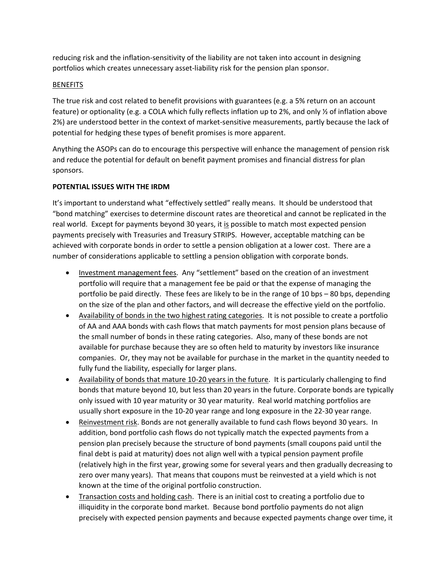reducing risk and the inflation‐sensitivity of the liability are not taken into account in designing portfolios which creates unnecessary asset‐liability risk for the pension plan sponsor.

## **BENEFITS**

The true risk and cost related to benefit provisions with guarantees (e.g. a 5% return on an account feature) or optionality (e.g. a COLA which fully reflects inflation up to 2%, and only ½ of inflation above 2%) are understood better in the context of market‐sensitive measurements, partly because the lack of potential for hedging these types of benefit promises is more apparent.

Anything the ASOPs can do to encourage this perspective will enhance the management of pension risk and reduce the potential for default on benefit payment promises and financial distress for plan sponsors.

# **POTENTIAL ISSUES WITH THE IRDM**

It's important to understand what "effectively settled" really means. It should be understood that "bond matching" exercises to determine discount rates are theoretical and cannot be replicated in the real world. Except for payments beyond 30 years, it is possible to match most expected pension payments precisely with Treasuries and Treasury STRIPS. However, acceptable matching can be achieved with corporate bonds in order to settle a pension obligation at a lower cost. There are a number of considerations applicable to settling a pension obligation with corporate bonds.

- Investment management fees. Any "settlement" based on the creation of an investment portfolio will require that a management fee be paid or that the expense of managing the portfolio be paid directly. These fees are likely to be in the range of 10 bps – 80 bps, depending on the size of the plan and other factors, and will decrease the effective yield on the portfolio.
- Availability of bonds in the two highest rating categories. It is not possible to create a portfolio of AA and AAA bonds with cash flows that match payments for most pension plans because of the small number of bonds in these rating categories. Also, many of these bonds are not available for purchase because they are so often held to maturity by investors like insurance companies. Or, they may not be available for purchase in the market in the quantity needed to fully fund the liability, especially for larger plans.
- Availability of bonds that mature 10‐20 years in the future. It is particularly challenging to find bonds that mature beyond 10, but less than 20 years in the future. Corporate bonds are typically only issued with 10 year maturity or 30 year maturity. Real world matching portfolios are usually short exposure in the 10‐20 year range and long exposure in the 22‐30 year range.
- Reinvestment risk. Bonds are not generally available to fund cash flows beyond 30 years. In addition, bond portfolio cash flows do not typically match the expected payments from a pension plan precisely because the structure of bond payments (small coupons paid until the final debt is paid at maturity) does not align well with a typical pension payment profile (relatively high in the first year, growing some for several years and then gradually decreasing to zero over many years). That means that coupons must be reinvested at a yield which is not known at the time of the original portfolio construction.
- Transaction costs and holding cash. There is an initial cost to creating a portfolio due to illiquidity in the corporate bond market. Because bond portfolio payments do not align precisely with expected pension payments and because expected payments change over time, it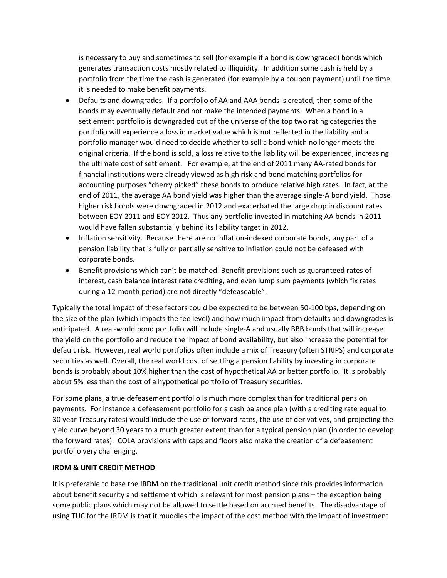is necessary to buy and sometimes to sell (for example if a bond is downgraded) bonds which generates transaction costs mostly related to illiquidity. In addition some cash is held by a portfolio from the time the cash is generated (for example by a coupon payment) until the time it is needed to make benefit payments.

- Defaults and downgrades. If a portfolio of AA and AAA bonds is created, then some of the bonds may eventually default and not make the intended payments. When a bond in a settlement portfolio is downgraded out of the universe of the top two rating categories the portfolio will experience a loss in market value which is not reflected in the liability and a portfolio manager would need to decide whether to sell a bond which no longer meets the original criteria. If the bond is sold, a loss relative to the liability will be experienced, increasing the ultimate cost of settlement. For example, at the end of 2011 many AA-rated bonds for financial institutions were already viewed as high risk and bond matching portfolios for accounting purposes "cherry picked" these bonds to produce relative high rates. In fact, at the end of 2011, the average AA bond yield was higher than the average single‐A bond yield. Those higher risk bonds were downgraded in 2012 and exacerbated the large drop in discount rates between EOY 2011 and EOY 2012. Thus any portfolio invested in matching AA bonds in 2011 would have fallen substantially behind its liability target in 2012.
- Inflation sensitivity. Because there are no inflation-indexed corporate bonds, any part of a pension liability that is fully or partially sensitive to inflation could not be defeased with corporate bonds.
- Benefit provisions which can't be matched. Benefit provisions such as guaranteed rates of interest, cash balance interest rate crediting, and even lump sum payments (which fix rates during a 12‐month period) are not directly "defeaseable".

Typically the total impact of these factors could be expected to be between 50‐100 bps, depending on the size of the plan (which impacts the fee level) and how much impact from defaults and downgrades is anticipated. A real‐world bond portfolio will include single‐A and usually BBB bonds that will increase the yield on the portfolio and reduce the impact of bond availability, but also increase the potential for default risk. However, real world portfolios often include a mix of Treasury (often STRIPS) and corporate securities as well. Overall, the real world cost of settling a pension liability by investing in corporate bonds is probably about 10% higher than the cost of hypothetical AA or better portfolio. It is probably about 5% less than the cost of a hypothetical portfolio of Treasury securities.

For some plans, a true defeasement portfolio is much more complex than for traditional pension payments. For instance a defeasement portfolio for a cash balance plan (with a crediting rate equal to 30 year Treasury rates) would include the use of forward rates, the use of derivatives, and projecting the yield curve beyond 30 years to a much greater extent than for a typical pension plan (in order to develop the forward rates). COLA provisions with caps and floors also make the creation of a defeasement portfolio very challenging.

# **IRDM & UNIT CREDIT METHOD**

It is preferable to base the IRDM on the traditional unit credit method since this provides information about benefit security and settlement which is relevant for most pension plans – the exception being some public plans which may not be allowed to settle based on accrued benefits. The disadvantage of using TUC for the IRDM is that it muddles the impact of the cost method with the impact of investment